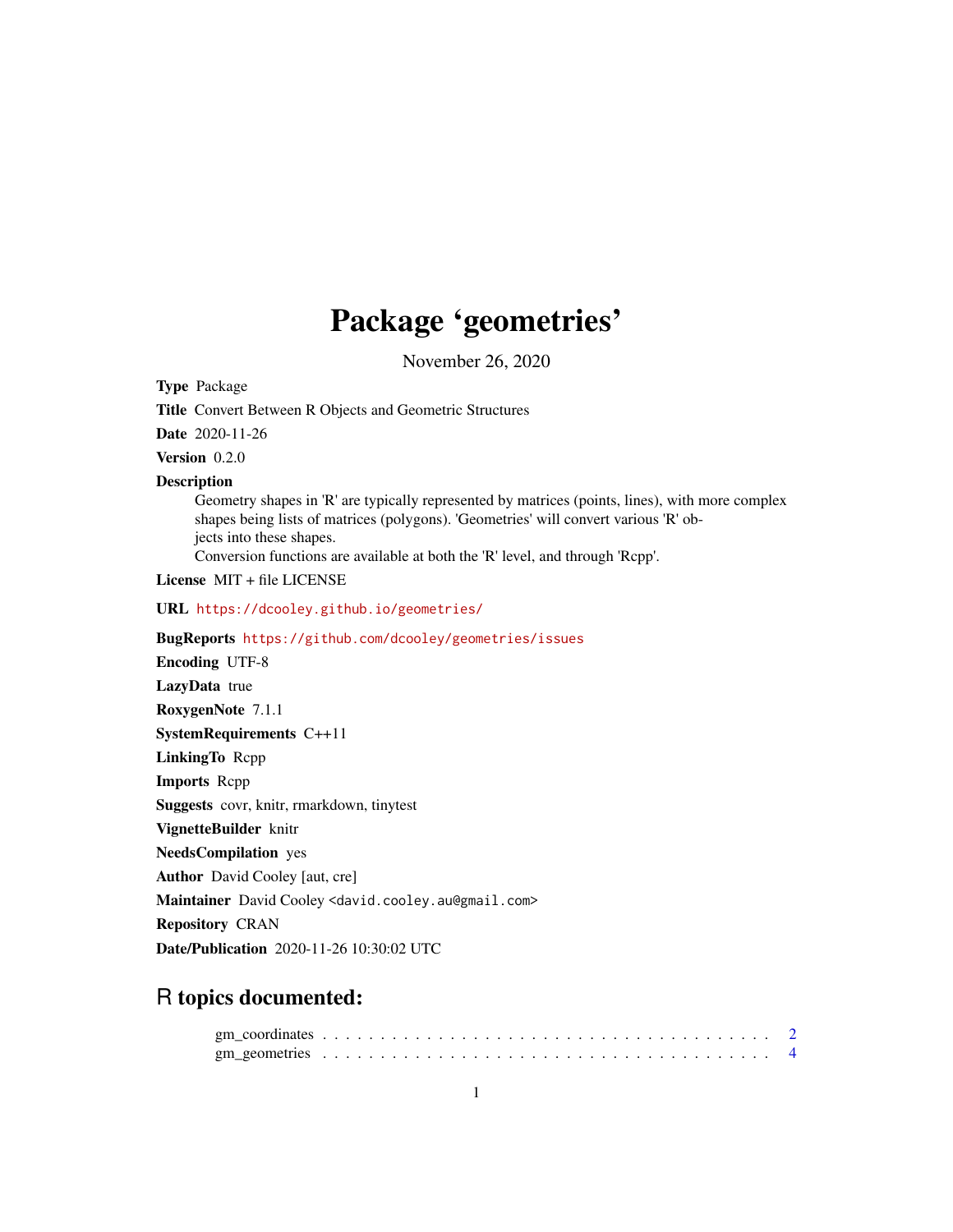## Package 'geometries'

November 26, 2020

Type Package

Title Convert Between R Objects and Geometric Structures

Date 2020-11-26

Version 0.2.0

#### **Description**

Geometry shapes in 'R' are typically represented by matrices (points, lines), with more complex shapes being lists of matrices (polygons). 'Geometries' will convert various 'R' objects into these shapes.

Conversion functions are available at both the 'R' level, and through 'Rcpp'.

License MIT + file LICENSE

URL <https://dcooley.github.io/geometries/>

BugReports <https://github.com/dcooley/geometries/issues>

Encoding UTF-8 LazyData true RoxygenNote 7.1.1 SystemRequirements C++11 LinkingTo Rcpp Imports Rcpp Suggests covr, knitr, rmarkdown, tinytest VignetteBuilder knitr NeedsCompilation yes Author David Cooley [aut, cre] Maintainer David Cooley <david.cooley.au@gmail.com> Repository CRAN

Date/Publication 2020-11-26 10:30:02 UTC

### R topics documented: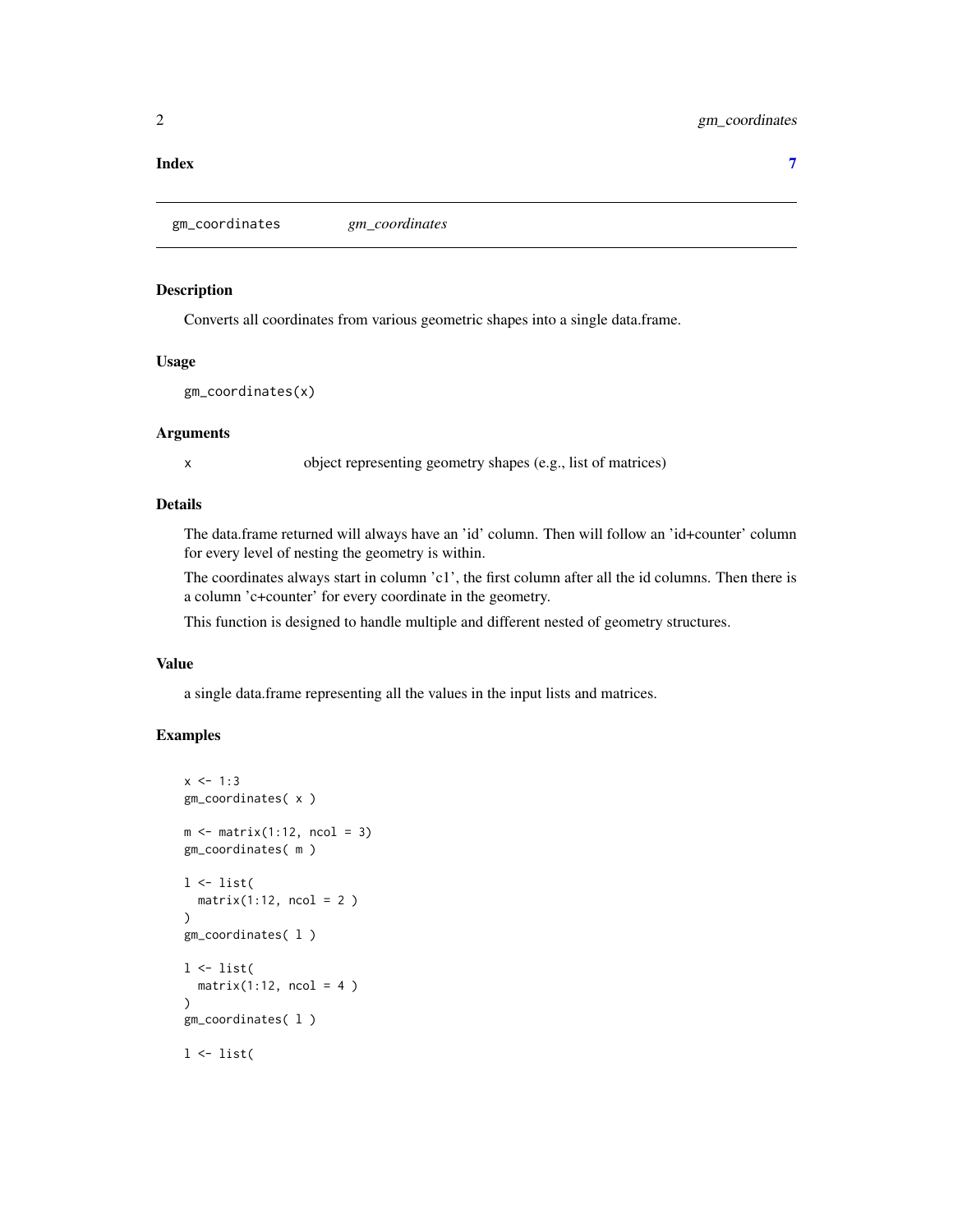#### <span id="page-1-0"></span>**Index** [7](#page-6-0) **7**

gm\_coordinates *gm\_coordinates*

#### Description

Converts all coordinates from various geometric shapes into a single data.frame.

#### Usage

gm\_coordinates(x)

#### Arguments

x object representing geometry shapes (e.g., list of matrices)

#### Details

The data.frame returned will always have an 'id' column. Then will follow an 'id+counter' column for every level of nesting the geometry is within.

The coordinates always start in column 'c1', the first column after all the id columns. Then there is a column 'c+counter' for every coordinate in the geometry.

This function is designed to handle multiple and different nested of geometry structures.

#### Value

a single data.frame representing all the values in the input lists and matrices.

#### Examples

```
x \le -1:3gm_coordinates( x )
m \leq - matrix(1:12, ncol = 3)
gm_coordinates( m )
1 \leftarrow list(matrix(1:12, ncol = 2)\mathcal{L}gm_coordinates( l )
1 \leftarrow list(matrix(1:12, ncol = 4)\lambdagm_coordinates( l )
l <- list(
```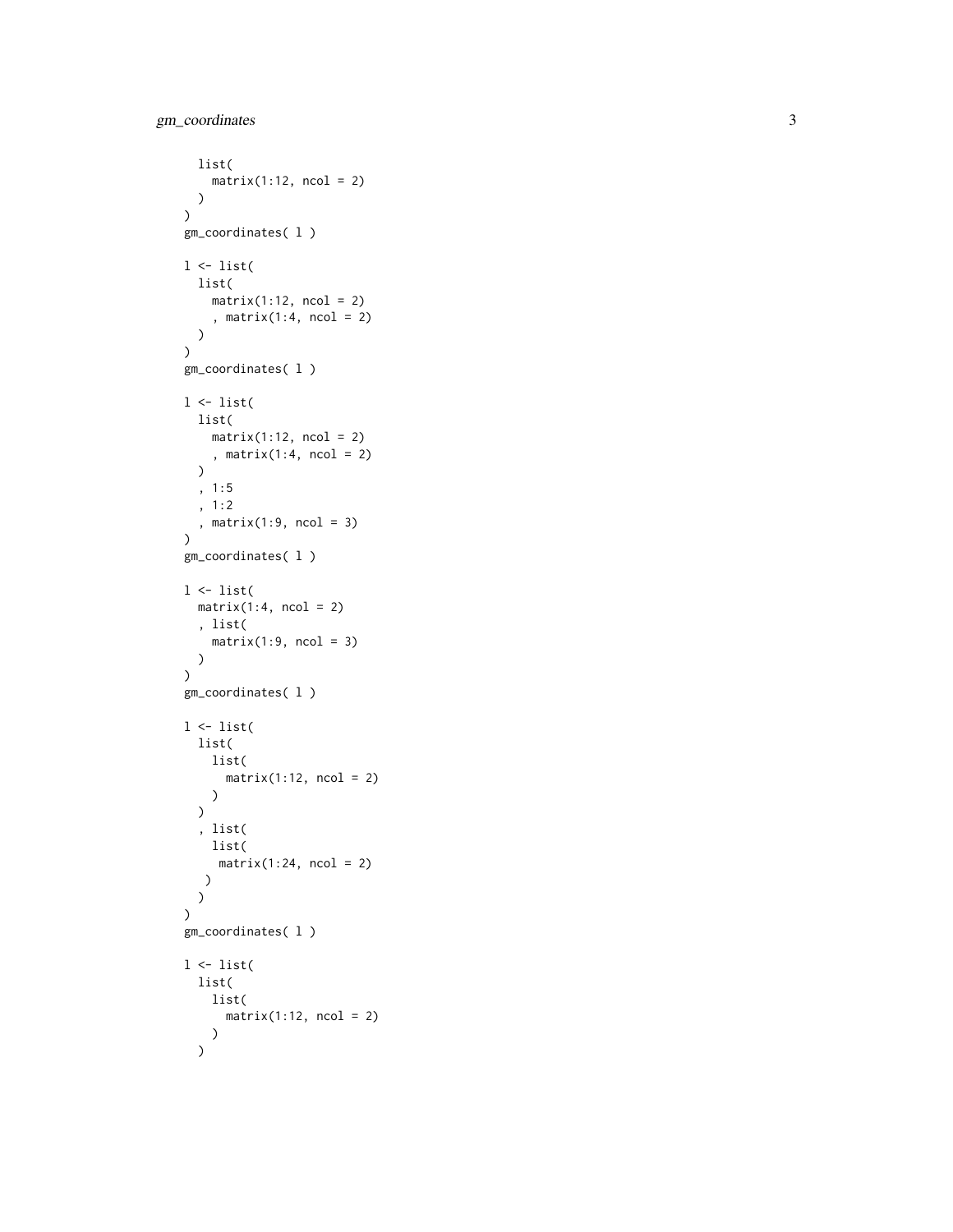```
list(
   matrix(1:12, ncol = 2))
\mathcal{L}gm_coordinates( l )
1 \leftarrow list(list(
    matrix(1:12, ncol = 2), matrix(1:4, ncol = 2)
  )
\mathcal{L}gm_coordinates( l )
1 \leftarrow list(list(
    matrix(1:12, ncol = 2), matrix(1:4, \text{ ncol} = 2)\lambda, 1:5
  , 1:2
  , matrix(1:9, ncol = 3)
\mathcal{L}gm_coordinates( l )
l <- list(
 matrix(1:4, ncol = 2), list(
   matrix(1:9, ncol = 3))
\mathcal{L}gm_coordinates( l )
l <- list(
  list(
    list(
      matrix(1:12, ncol = 2))
  \lambda, list(
   list(
    matrix(1:24, ncol = 2))
 )
\mathcal{L}gm_coordinates( l )
l <- list(
  list(
    list(
      matrix(1:12, ncol = 2))
  \mathcal{L}
```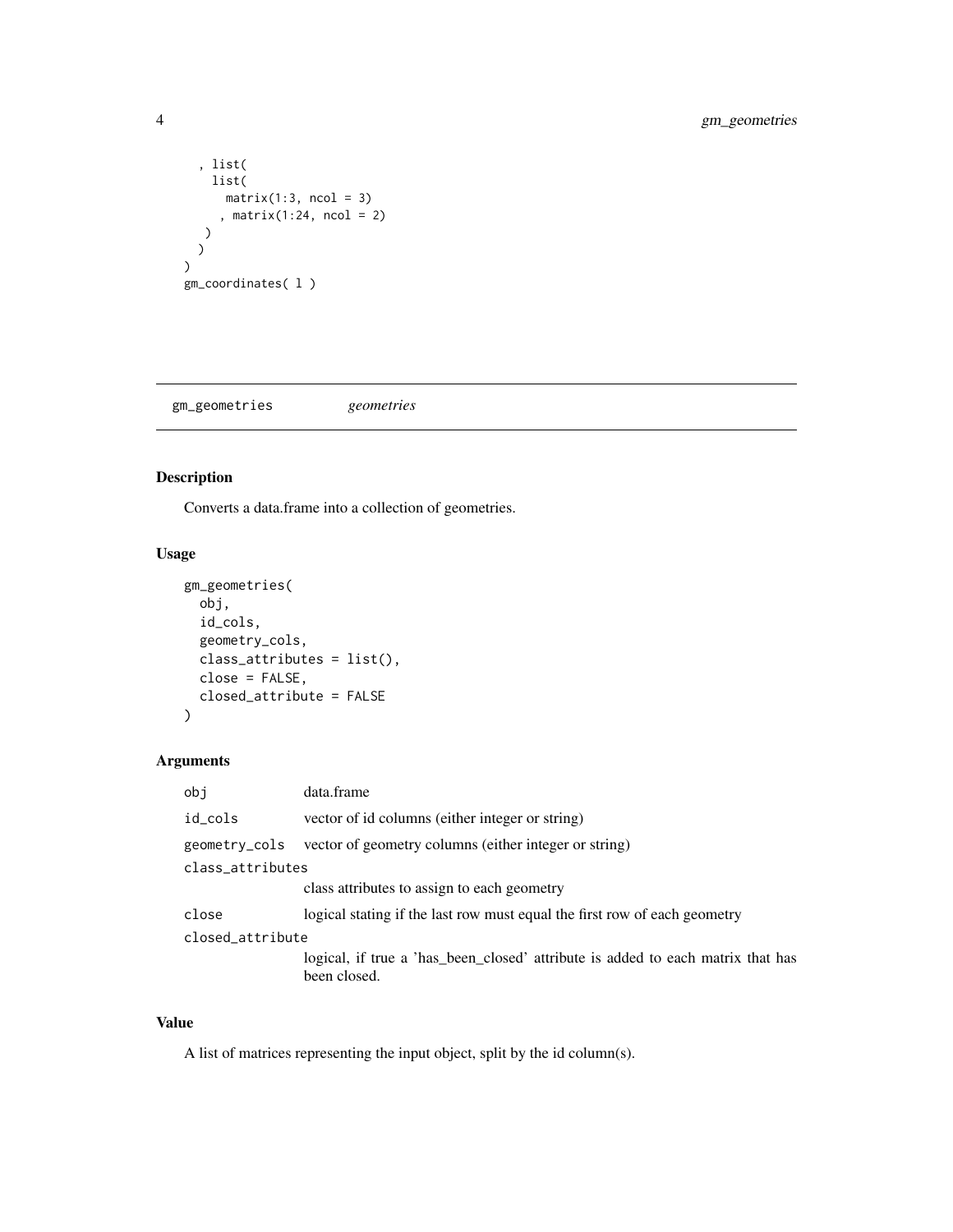```
, list(
    list(
       matrix(1:3, ncol = 3), matrix(1:24, ncol = 2)
   )
 )
\overline{\phantom{a}}gm_coordinates( l )
```
gm\_geometries *geometries*

#### Description

Converts a data.frame into a collection of geometries.

#### Usage

```
gm_geometries(
 obj,
 id_cols,
  geometry_cols,
 class_attributes = list(),
 close = FALSE,
 closed_attribute = FALSE
)
```
#### Arguments

| obi              | data.frame                                                                                      |
|------------------|-------------------------------------------------------------------------------------------------|
| id_cols          | vector of id columns (either integer or string)                                                 |
| geometry_cols    | vector of geometry columns (either integer or string)                                           |
| class_attributes |                                                                                                 |
|                  | class attributes to assign to each geometry                                                     |
| close            | logical stating if the last row must equal the first row of each geometry                       |
| closed_attribute |                                                                                                 |
|                  | logical, if true a 'has_been_closed' attribute is added to each matrix that has<br>been closed. |

#### Value

A list of matrices representing the input object, split by the id column(s).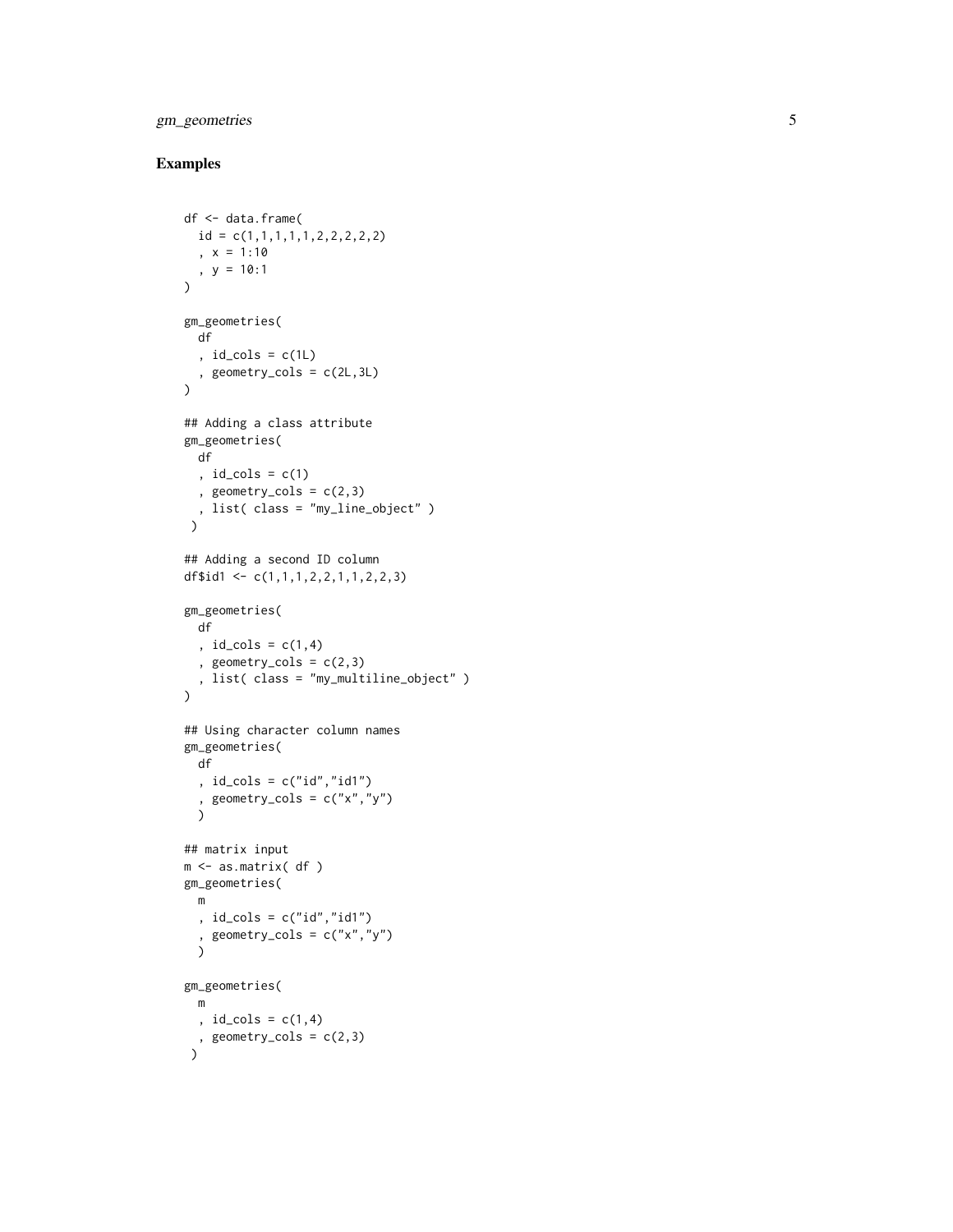#### gm\_geometries

#### Examples

```
df <- data.frame(
  id = c(1,1,1,1,1,2,2,2,2,2)
  , x = 1:10, y = 10:1)
gm_geometries(
 df
  , id_cols = c(1L)
 , geometry_cols = c(2L,3L)
)
## Adding a class attribute
gm_geometries(
 df
  , id\_cols = c(1), geometry_cols = c(2,3), list( class = "my_line_object" )
 \mathcal{L}## Adding a second ID column
df$id1 <- c(1,1,1,2,2,1,1,2,2,3)gm_geometries(
 df
  , id_{cols} = c(1, 4), geometry_cols = c(2,3), list( class = "my_multiline_object" )
\overline{)}## Using character column names
gm_geometries(
 df
  , id\_cols = c("id", "id1"), geometry_cols = c("x","y") )
## matrix input
m <- as.matrix( df )
gm_geometries( m
  , id_cols = c("id","id1")
  , geometry_cols = c("x","y") )
gm_geometries( m
 , id\_cols = c(1, 4), geometry_cols = c(2,3)\lambda
```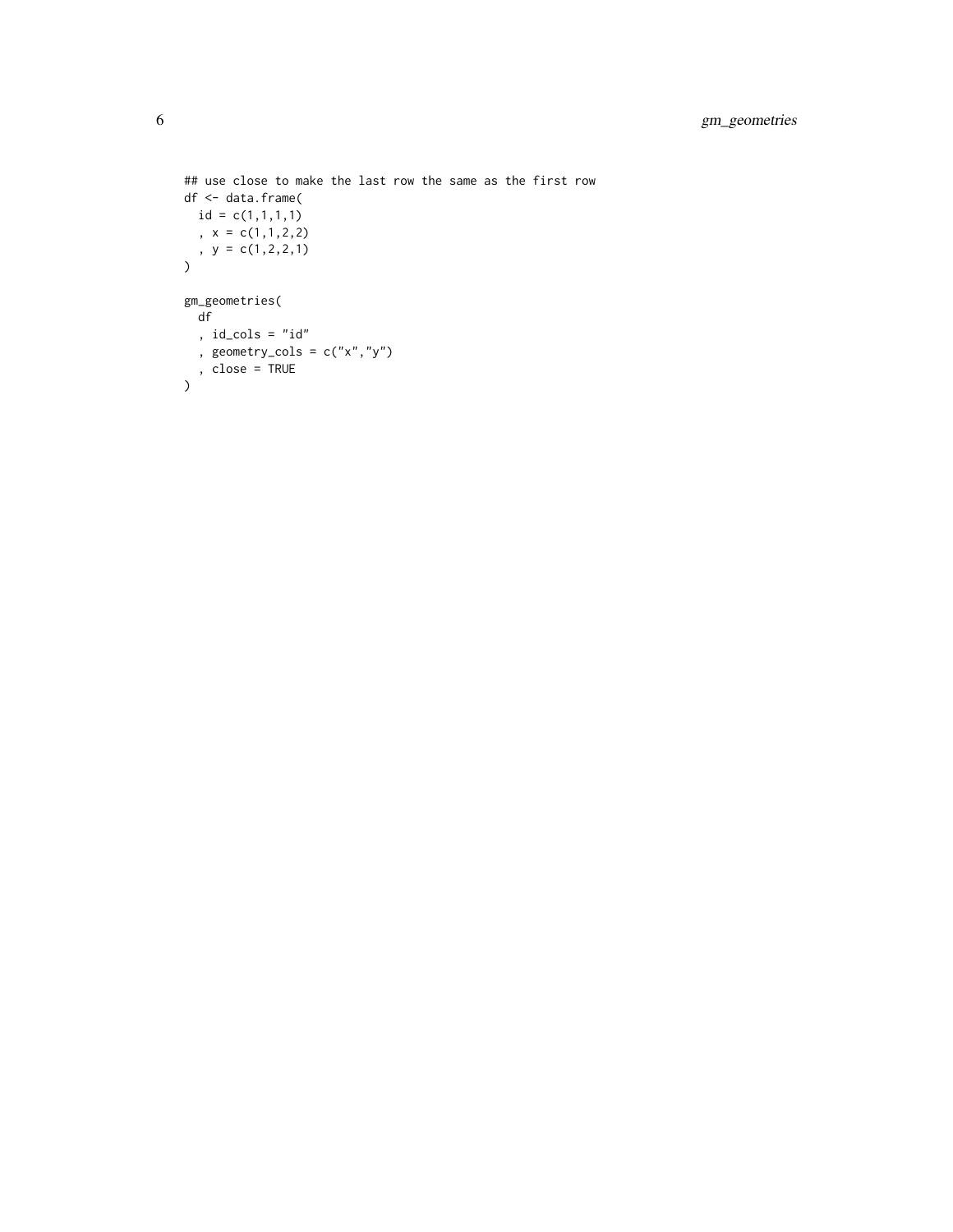```
## use close to make the last row the same as the first row
df <- data.frame(
id = c(1,1,1,1), x = c(1,1,2,2), y = c(1, 2, 2, 1))
gm_geometries(
 df
 , id_cols = "id"
 , geometry_cols = c("x", "y"), close = TRUE
)
```